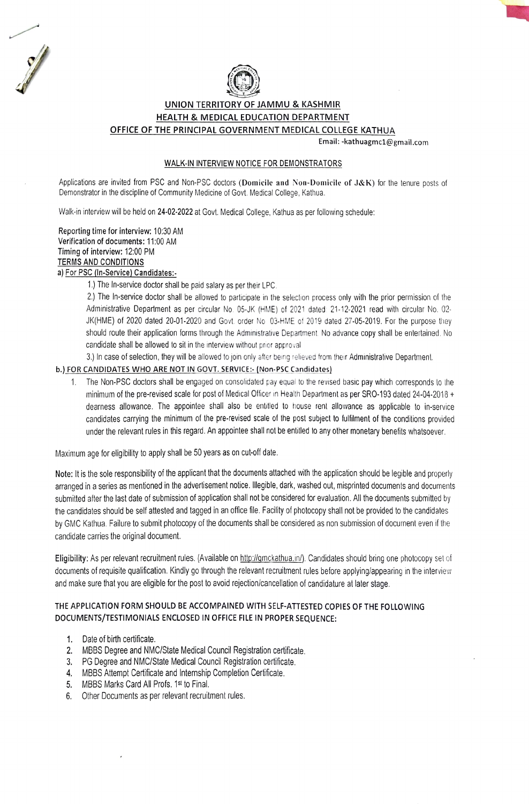



## UNION TERRITORY OF JAMMU & KASHMIR HEALTH & MEDICAL EDUCATION DEPARTMENI OFFICE OF THE PRINCIPAL GOVERNMENT MEDICAL COLLEGE KATHUA

Email: -kathuagmc1@gmail.com

#### WALK-IN INTERVIEW NOTICE FOR DEMONSTRATORS

Applications are invited from PSC and Non-PSC doctors (Domicile and Non-Domicile of J&K) for the tenure posts of Demonstrator in the discipline of Community Medicine of Govt. Medical College, Kathua.

Walk-in interview will be held on 24-02-2022 at Govt. Medical College. Kathua as per following schedule:

Reporting time for interview: 10:30 AM Verification of documents: 11:00 AM Timing of interview: 12:00 PM TERMS AND CONDITIONS a) For PSC (In-Service) Candidates:-

1) The In-service doctor shall be paid salary as per their LPC.

2.) The In-service doctor shall be allowed to participate in the selection process only with the prior permission of the Administrative Department as per circular No. 05-JK (HME) of 2021 dated 21-12-2021 read wilth circular No. 02 JK(HME) of 2020 dated 20-01-2020 and Govt. order No 03-HME of 2019 dated 27-05-2019. For the purpose they should route their application forms through the Administrative Department. No advance copy shall be entertained. No candidate shall be allowed to sit in the interview without prior approval.

3.) In case of selection, they will be allowed to join only after being relieved from their Administrative Department.

### b.) FOR CANDIDATES WHO ARE NOT IN GOVT. SERVICE: (Non-PSC Candidates)

1. The Non-PSC doclors shall be engaged on consolidaled pay equal to the revised basic pay which corresponds lo the minimum of the pre-revised scale for post of Medical Officer in Health Department as per SRO-193 dated 24-04-2018 + dearness allowance. The appointee shall also be entitled to house rent allowance as applicable to in-service candidates carrying the minimum of the pre-revised scale of the post subject to fulfilment of the conditions provided under the relevant rules in this regard. An appointee shall not be entiled to any other monetary benelits whatsoever.

Maximum age for eligibility to apply shall be 50 years as on cut-off date.

Note: It is the sole responsibility of the applicant that the documents attached with the application should be legible and properly arranged in a series as mentioned in the adverisement notice. llegible, dark, washed out, misprinted documents and documents submited after the last date of submission of application shall not be considered for evaluation. All the documents submitted by the candidates should be self attested and tagged in an office file. Facility of photocopy shall not be provided to the candidates by GMC Kathua. Failure to submit photocopy of the documents shall be considered as non submission of document even if the candidate carries the original document.

Eligibility: As per relevant recruitment rules. (Available on http://gmckathua.in/). Candidates should bring one photocopy set of documents of requisite qualification. Kindly go through the relevant recruitment rules before applying/appearing in the interview and make sure that you are eligible for the post to avoid rejection/cancellation of candidature at later stage.

# THE APPLICATION FORM SHOULD BE ACCOMPAINED WITH SELF-ATTESTED COPIES OF THE FOLLOWING DOCUMENTS/TESTIMONIALS ENCLOSED IN OFFICE FILE IN PROPER SEQUENCE:

- 1. Date of birth certificate.
- 2. MBBS Degree and NMCIState Medical Council Registration cetificate.
- 3. PG Degree and NMC/State Medical Council Registration certificate.
- MBBS Attempt Certificate and Internship Completion Certificate.
- 5. MBBS Marks Card All Profs. 1st to Final
- 6. Other Documents as per relevant recruitment rules.